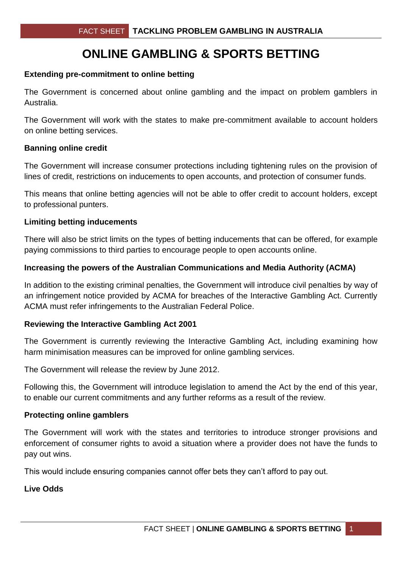# **ONLINE GAMBLING & SPORTS BETTING**

### **Extending pre-commitment to online betting**

The Government is concerned about online gambling and the impact on problem gamblers in Australia.

The Government will work with the states to make pre-commitment available to account holders on online betting services.

#### **Banning online credit**

The Government will increase consumer protections including tightening rules on the provision of lines of credit, restrictions on inducements to open accounts, and protection of consumer funds.

This means that online betting agencies will not be able to offer credit to account holders, except to professional punters.

### **Limiting betting inducements**

There will also be strict limits on the types of betting inducements that can be offered, for example paying commissions to third parties to encourage people to open accounts online.

### **Increasing the powers of the Australian Communications and Media Authority (ACMA)**

In addition to the existing criminal penalties, the Government will introduce civil penalties by way of an infringement notice provided by ACMA for breaches of the Interactive Gambling Act. Currently ACMA must refer infringements to the Australian Federal Police.

### **Reviewing the Interactive Gambling Act 2001**

The Government is currently reviewing the Interactive Gambling Act, including examining how harm minimisation measures can be improved for online gambling services.

The Government will release the review by June 2012.

Following this, the Government will introduce legislation to amend the Act by the end of this year, to enable our current commitments and any further reforms as a result of the review.

#### **Protecting online gamblers**

The Government will work with the states and territories to introduce stronger provisions and enforcement of consumer rights to avoid a situation where a provider does not have the funds to pay out wins.

This would include ensuring companies cannot offer bets they can't afford to pay out.

## **Live Odds**